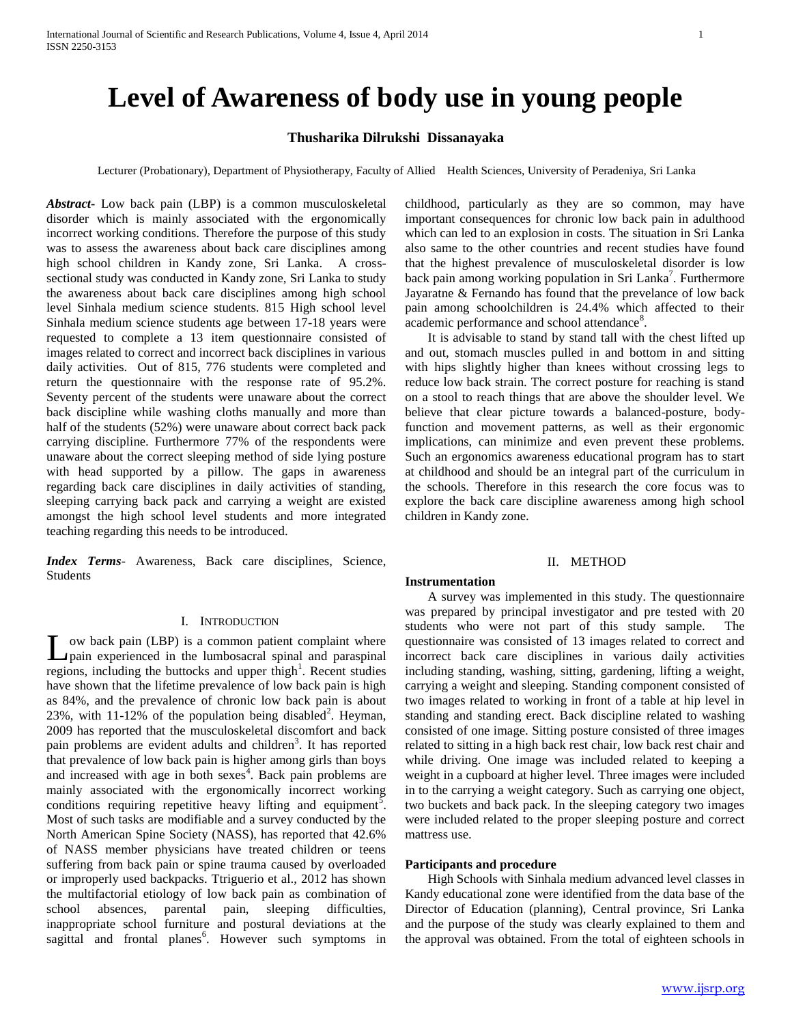# **Level of Awareness of body use in young people**

# **Thusharika Dilrukshi Dissanayaka**

Lecturer (Probationary), Department of Physiotherapy, Faculty of Allied Health Sciences, University of Peradeniya, Sri Lanka

*Abstract***-** Low back pain (LBP) is a common musculoskeletal disorder which is mainly associated with the ergonomically incorrect working conditions. Therefore the purpose of this study was to assess the awareness about back care disciplines among high school children in Kandy zone, Sri Lanka. A crosssectional study was conducted in Kandy zone, Sri Lanka to study the awareness about back care disciplines among high school level Sinhala medium science students. 815 High school level Sinhala medium science students age between 17-18 years were requested to complete a 13 item questionnaire consisted of images related to correct and incorrect back disciplines in various daily activities. Out of 815, 776 students were completed and return the questionnaire with the response rate of 95.2%. Seventy percent of the students were unaware about the correct back discipline while washing cloths manually and more than half of the students (52%) were unaware about correct back pack carrying discipline. Furthermore 77% of the respondents were unaware about the correct sleeping method of side lying posture with head supported by a pillow. The gaps in awareness regarding back care disciplines in daily activities of standing, sleeping carrying back pack and carrying a weight are existed amongst the high school level students and more integrated teaching regarding this needs to be introduced.

*Index Terms*- Awareness, Back care disciplines, Science, Students

#### I. INTRODUCTION

ow back pain (LBP) is a common patient complaint where pain experienced in the lumbosacral spinal and paraspinal L ow back pain (LBP) is a common patient complaint where pain experienced in the lumbosacral spinal and paraspinal regions, including the buttocks and upper thigh<sup>1</sup>. Recent studies have shown that the lifetime prevalence of low back pain is high as 84%, and the prevalence of chronic low back pain is about 23%, with  $11-12\%$  of the population being disabled<sup>2</sup>. Heyman, 2009 has reported that the musculoskeletal discomfort and back pain problems are evident adults and children<sup>3</sup>. It has reported that prevalence of low back pain is higher among girls than boys and increased with age in both  $s$ exes<sup>4</sup>. Back pain problems are mainly associated with the ergonomically incorrect working conditions requiring repetitive heavy lifting and equipment<sup>5</sup>. Most of such tasks are modifiable and a survey conducted by the North American Spine Society (NASS), has reported that 42.6% of NASS member physicians have treated children or teens suffering from back pain or spine trauma caused by overloaded or improperly used backpacks. Ttriguerio et al., 2012 has shown the multifactorial etiology of low back pain as combination of school absences, parental pain, sleeping difficulties, inappropriate school furniture and postural deviations at the sagittal and frontal planes<sup>6</sup>. However such symptoms in childhood, particularly as they are so common, may have important consequences for chronic low back pain in adulthood which can led to an explosion in costs. The situation in Sri Lanka also same to the other countries and recent studies have found that the highest prevalence of musculoskeletal disorder is low back pain among working population in Sri Lanka<sup>7</sup>. Furthermore Jayaratne & Fernando has found that the prevelance of low back pain among schoolchildren is 24.4% which affected to their academic performance and school attendance<sup>8</sup>.

 It is advisable to stand by stand tall with the chest lifted up and out, stomach muscles pulled in and bottom in and sitting with hips slightly higher than knees without crossing legs to reduce low back strain. The correct posture for reaching is stand on a stool to reach things that are above the shoulder level. We believe that clear picture towards a balanced-posture, bodyfunction and movement patterns, as well as their ergonomic implications, can minimize and even prevent these problems. Such an ergonomics awareness educational program has to start at childhood and should be an integral part of the curriculum in the schools. Therefore in this research the core focus was to explore the back care discipline awareness among high school children in Kandy zone.

# II. METHOD

#### **Instrumentation**

 A survey was implemented in this study. The questionnaire was prepared by principal investigator and pre tested with 20 students who were not part of this study sample. The questionnaire was consisted of 13 images related to correct and incorrect back care disciplines in various daily activities including standing, washing, sitting, gardening, lifting a weight, carrying a weight and sleeping. Standing component consisted of two images related to working in front of a table at hip level in standing and standing erect. Back discipline related to washing consisted of one image. Sitting posture consisted of three images related to sitting in a high back rest chair, low back rest chair and while driving. One image was included related to keeping a weight in a cupboard at higher level. Three images were included in to the carrying a weight category. Such as carrying one object, two buckets and back pack. In the sleeping category two images were included related to the proper sleeping posture and correct mattress use.

# **Participants and procedure**

 High Schools with Sinhala medium advanced level classes in Kandy educational zone were identified from the data base of the Director of Education (planning), Central province, Sri Lanka and the purpose of the study was clearly explained to them and the approval was obtained. From the total of eighteen schools in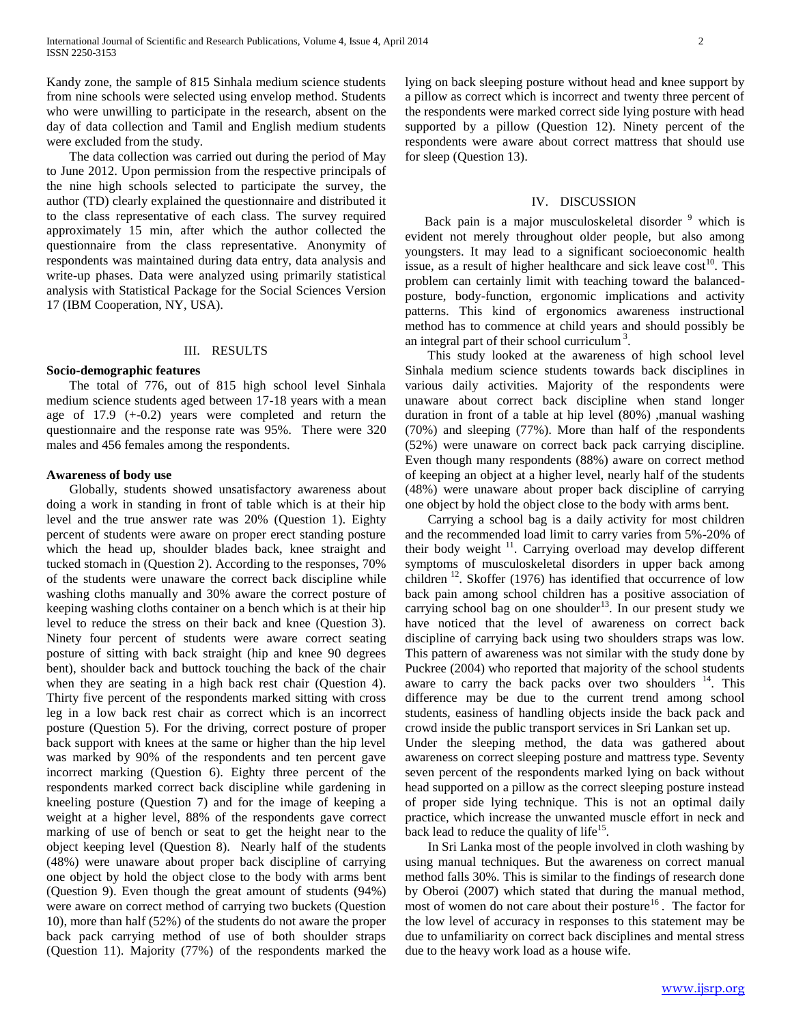Kandy zone, the sample of 815 Sinhala medium science students from nine schools were selected using envelop method. Students who were unwilling to participate in the research, absent on the day of data collection and Tamil and English medium students were excluded from the study.

 The data collection was carried out during the period of May to June 2012. Upon permission from the respective principals of the nine high schools selected to participate the survey, the author (TD) clearly explained the questionnaire and distributed it to the class representative of each class. The survey required approximately 15 min, after which the author collected the questionnaire from the class representative. Anonymity of respondents was maintained during data entry, data analysis and write-up phases. Data were analyzed using primarily statistical analysis with Statistical Package for the Social Sciences Version 17 (IBM Cooperation, NY, USA).

### III. RESULTS

# **Socio-demographic features**

 The total of 776, out of 815 high school level Sinhala medium science students aged between 17-18 years with a mean age of 17.9 (+-0.2) years were completed and return the questionnaire and the response rate was 95%. There were 320 males and 456 females among the respondents.

#### **Awareness of body use**

 Globally, students showed unsatisfactory awareness about doing a work in standing in front of table which is at their hip level and the true answer rate was 20% (Question 1). Eighty percent of students were aware on proper erect standing posture which the head up, shoulder blades back, knee straight and tucked stomach in (Question 2). According to the responses, 70% of the students were unaware the correct back discipline while washing cloths manually and 30% aware the correct posture of keeping washing cloths container on a bench which is at their hip level to reduce the stress on their back and knee (Question 3). Ninety four percent of students were aware correct seating posture of sitting with back straight (hip and knee 90 degrees bent), shoulder back and buttock touching the back of the chair when they are seating in a high back rest chair (Question 4). Thirty five percent of the respondents marked sitting with cross leg in a low back rest chair as correct which is an incorrect posture (Question 5). For the driving, correct posture of proper back support with knees at the same or higher than the hip level was marked by 90% of the respondents and ten percent gave incorrect marking (Question 6). Eighty three percent of the respondents marked correct back discipline while gardening in kneeling posture (Question 7) and for the image of keeping a weight at a higher level, 88% of the respondents gave correct marking of use of bench or seat to get the height near to the object keeping level (Question 8). Nearly half of the students (48%) were unaware about proper back discipline of carrying one object by hold the object close to the body with arms bent (Question 9). Even though the great amount of students (94%) were aware on correct method of carrying two buckets (Question 10), more than half (52%) of the students do not aware the proper back pack carrying method of use of both shoulder straps (Question 11). Majority (77%) of the respondents marked the lying on back sleeping posture without head and knee support by a pillow as correct which is incorrect and twenty three percent of the respondents were marked correct side lying posture with head supported by a pillow (Question 12). Ninety percent of the respondents were aware about correct mattress that should use for sleep (Question 13).

#### IV. DISCUSSION

Back pain is a major musculoskeletal disorder <sup>9</sup> which is evident not merely throughout older people, but also among youngsters. It may lead to a significant socioeconomic health issue, as a result of higher healthcare and sick leave  $\cos t^{10}$ . This problem can certainly limit with teaching toward the balancedposture, body-function, ergonomic implications and activity patterns. This kind of ergonomics awareness instructional method has to commence at child years and should possibly be an integral part of their school curriculum<sup>3</sup>.

 This study looked at the awareness of high school level Sinhala medium science students towards back disciplines in various daily activities. Majority of the respondents were unaware about correct back discipline when stand longer duration in front of a table at hip level (80%) ,manual washing (70%) and sleeping (77%). More than half of the respondents (52%) were unaware on correct back pack carrying discipline. Even though many respondents (88%) aware on correct method of keeping an object at a higher level, nearly half of the students (48%) were unaware about proper back discipline of carrying one object by hold the object close to the body with arms bent.

 Carrying a school bag is a daily activity for most children and the recommended load limit to carry varies from 5%-20% of their body weight  $11$ . Carrying overload may develop different symptoms of musculoskeletal disorders in upper back among children  $^{12}$ . Skoffer (1976) has identified that occurrence of low back pain among school children has a positive association of carrying school bag on one shoulder<sup>13</sup>. In our present study we have noticed that the level of awareness on correct back discipline of carrying back using two shoulders straps was low. This pattern of awareness was not similar with the study done by Puckree (2004) who reported that majority of the school students aware to carry the back packs over two shoulders  $14$ . This difference may be due to the current trend among school students, easiness of handling objects inside the back pack and crowd inside the public transport services in Sri Lankan set up. Under the sleeping method, the data was gathered about

awareness on correct sleeping posture and mattress type. Seventy seven percent of the respondents marked lying on back without head supported on a pillow as the correct sleeping posture instead of proper side lying technique. This is not an optimal daily practice, which increase the unwanted muscle effort in neck and back lead to reduce the quality of life $15$ .

 In Sri Lanka most of the people involved in cloth washing by using manual techniques. But the awareness on correct manual method falls 30%. This is similar to the findings of research done by Oberoi (2007) which stated that during the manual method, most of women do not care about their posture $16$ . The factor for the low level of accuracy in responses to this statement may be due to unfamiliarity on correct back disciplines and mental stress due to the heavy work load as a house wife.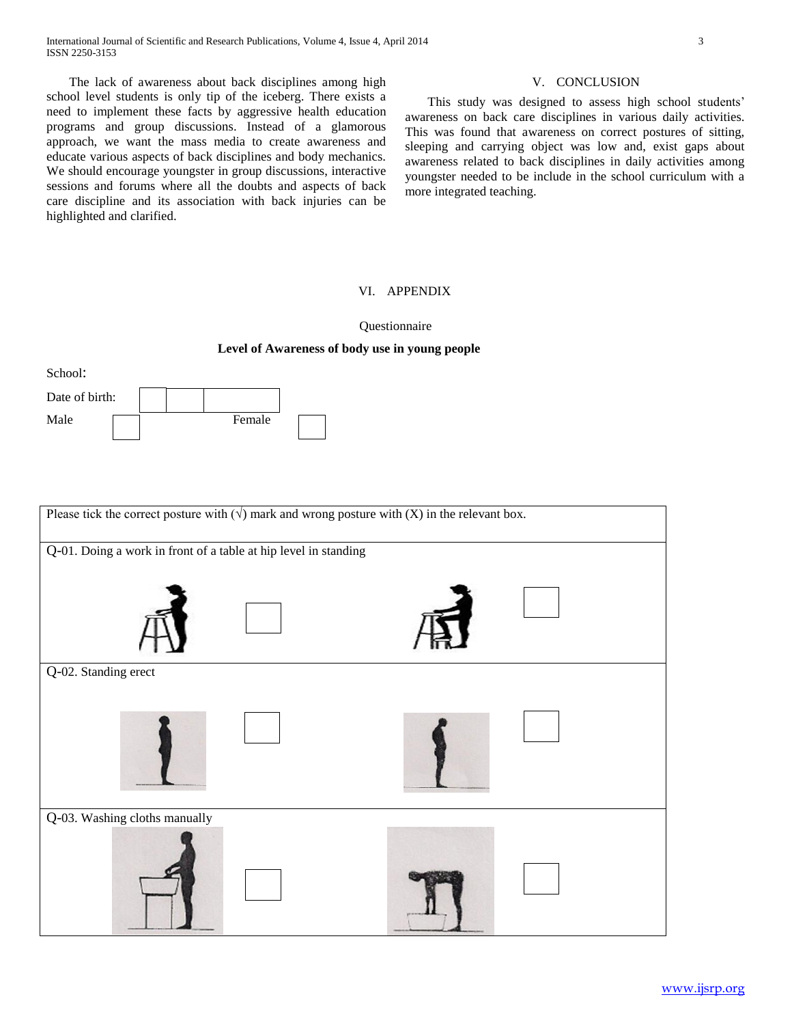The lack of awareness about back disciplines among high school level students is only tip of the iceberg. There exists a need to implement these facts by aggressive health education programs and group discussions. Instead of a glamorous approach, we want the mass media to create awareness and educate various aspects of back disciplines and body mechanics. We should encourage youngster in group discussions, interactive sessions and forums where all the doubts and aspects of back care discipline and its association with back injuries can be highlighted and clarified.

School:

Date of birth:

Male **Female** 

#### V. CONCLUSION

 This study was designed to assess high school students' awareness on back care disciplines in various daily activities. This was found that awareness on correct postures of sitting, sleeping and carrying object was low and, exist gaps about awareness related to back disciplines in daily activities among youngster needed to be include in the school curriculum with a more integrated teaching.

# VI. APPENDIX

Questionnaire

# **Level of Awareness of body use in young people**

Please tick the correct posture with  $(\sqrt{})$  mark and wrong posture with  $(X)$  in the relevant box. Q-01. Doing a work in front of a table at hip level in standing Q-02. Standing erect Q-03. Washing cloths manually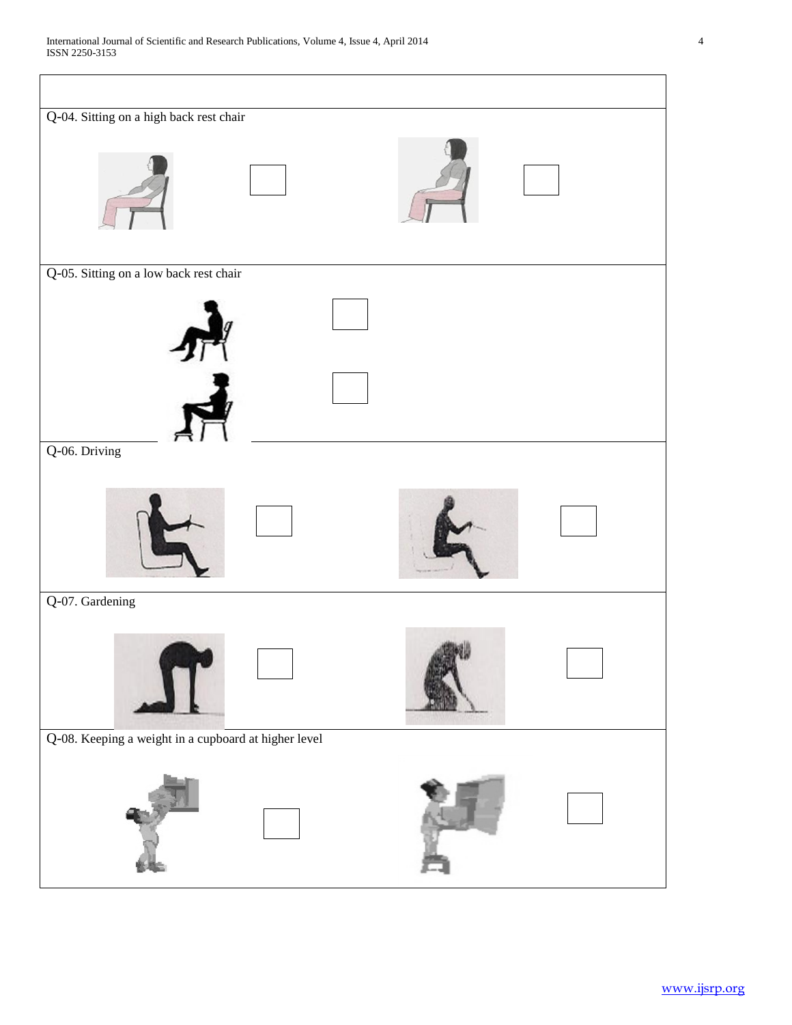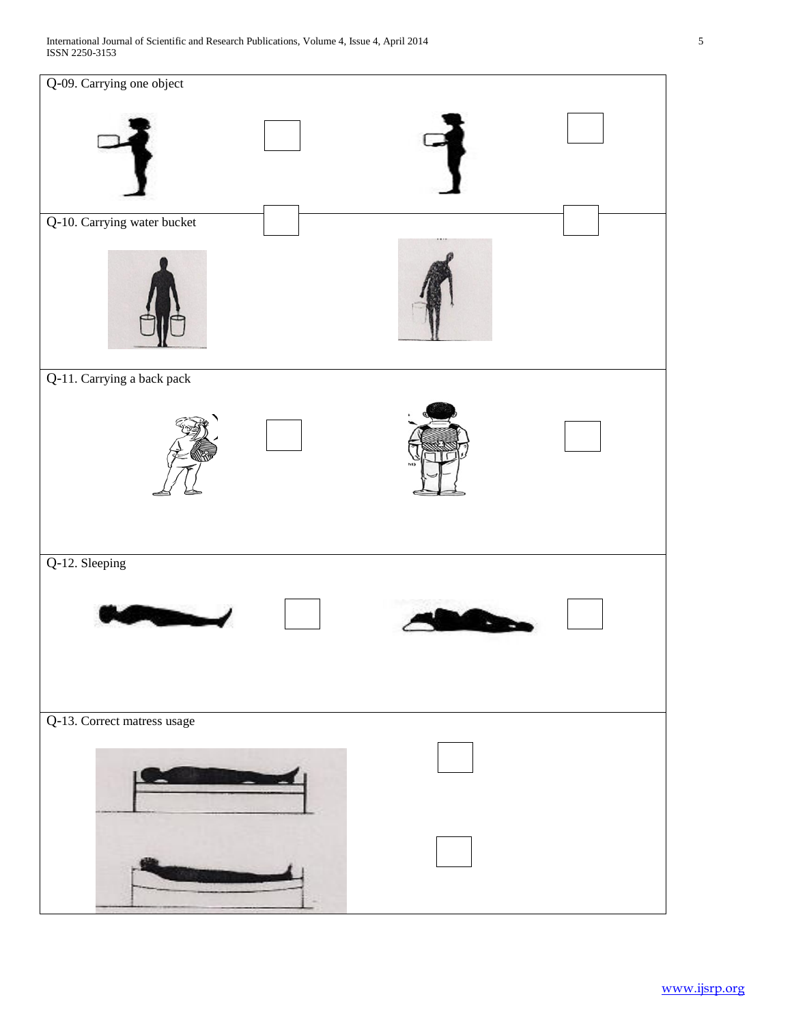